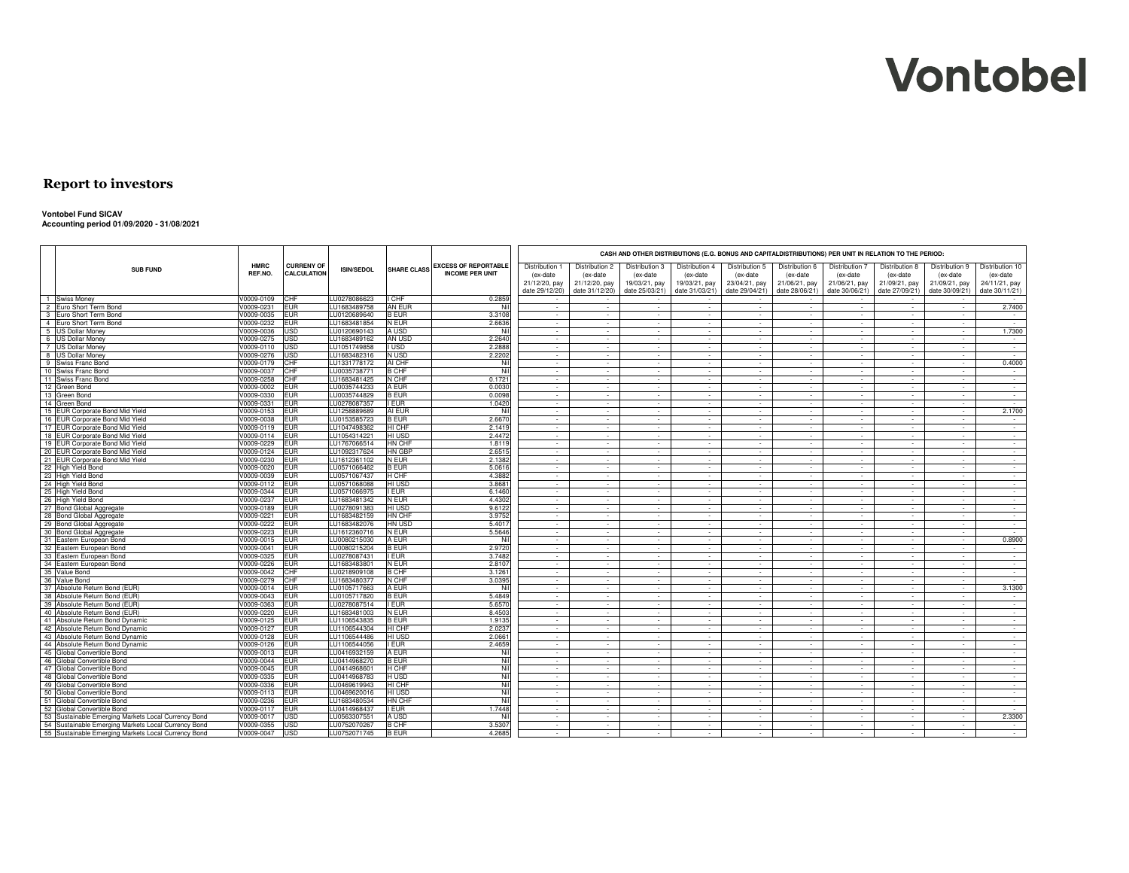#### **Report to investors**

#### **Vontobel Fund SICAV**

**Accounting period 01/09/2020 - 31/08/2021**

|                                                        |             |                   |                   |                    |                             | CASH AND OTHER DISTRIBUTIONS (E.G. BONUS AND CAPITALDISTRIBUTIONS) PER UNIT IN RELATION TO THE PERIOD: |                |                          |                |                |                          |                |                |                          |                 |  |
|--------------------------------------------------------|-------------|-------------------|-------------------|--------------------|-----------------------------|--------------------------------------------------------------------------------------------------------|----------------|--------------------------|----------------|----------------|--------------------------|----------------|----------------|--------------------------|-----------------|--|
| <b>SUB FUND</b>                                        | <b>HMRC</b> | <b>CURRENY OF</b> | <b>ISIN/SEDOL</b> | <b>SHARE CLASS</b> | <b>EXCESS OF REPORTABLE</b> | Distribution                                                                                           | Distribution 2 | Distribution 3           | Distribution 4 | Distribution 5 | Distribution 6           | Distribution 7 | Distribution 8 | Distribution 9           | Distribution 10 |  |
|                                                        | REF.NO.     | CALCULATION       |                   |                    | <b>INCOME PER UNIT</b>      | (ex-date                                                                                               | (ex-date       | (ex-date                 | (ex-date       | (ex-date       | (ex-date                 | (ex-date       | (ex-date       | (ex-date                 | (ex-date        |  |
|                                                        |             |                   |                   |                    |                             | 21/12/20, pay                                                                                          | 21/12/20, pay  | 19/03/21, pay            | 19/03/21, pay  | 23/04/21, pay  | 21/06/21, pay            | 21/06/21, pay  | 21/09/21, pay  | 21/09/21, pay            | 24/11/21, pay   |  |
|                                                        |             |                   |                   |                    |                             | date 29/12/20)                                                                                         | date 31/12/20) | date 25/03/21)           | date 31/03/21) | date 29/04/21) | date 28/06/21)           | date 30/06/21) | date 27/09/21) | date 30/09/21)           | date 30/11/21)  |  |
| 1 Swiss Money                                          | V0009-0109  | CHF               | LU0278086623      | CHF                | 0.2859                      |                                                                                                        |                |                          |                |                |                          |                |                |                          |                 |  |
| $\overline{2}$<br>Euro Short Term Bond                 | V0009-0231  | <b>EUR</b>        | LU1683489758      | AN EUR             | Nil                         | $\sim$                                                                                                 | $\sim$         | $\sim$                   | $\sim$         | $\sim$         | $\sim$                   | $\sim$         | $\sim$         | $\sim$                   | 2.7400          |  |
| $\mathbf{3}$<br>Euro Short Term Bond                   | V0009-0035  | <b>EUR</b>        | LU0120689640      | <b>B EUR</b>       | 3.3108                      | $\sim$                                                                                                 | $\sim$         | $\sim$                   | $\sim$         | $\sim$         | $\sim$                   | $\sim$         | $\sim$         | $\sim$                   | $\sim$          |  |
| $\overline{4}$<br>Euro Short Term Bond                 | V0009-0232  | <b>EUR</b>        | LU1683481854      | N EUR              | 2.6636                      | $\sim$                                                                                                 | $\sim$         | $\sim$                   | $\sim$         | $\sim$         | $\sim$                   | $\sim$         | $\sim$         | $\sim$                   | $\sim$          |  |
| 5 US Dollar Money                                      | V0009-0036  | USD               | LU0120690143      | A USD              | Nil                         | $\sim$                                                                                                 | $\sim$         | $\sim$                   | $\sim$         | $\sim$         | $\sim$                   | $\sim$         | $\sim$         | $\sim$                   | 1.7300          |  |
| 6 US Dollar Money                                      | V0009-0275  | USD               | LU1683489162      | AN USD             | 2.2640                      | $\sim$                                                                                                 | in 1999.       | a.                       | a.             | i.             | in 1919.                 | a.             | $\sim$         | $\sim$                   | n.              |  |
| 7 US Dollar Money                                      | V0009-0110  | <b>USD</b>        | LU1051749858      | <b>USD</b>         | 2.2888                      | $\sim$                                                                                                 | $\sim$         | $\sim$                   | $\sim$         | $\sim$         | $\sim$                   | $\sim$         | $\sim$         | $\sim$                   | $\sim$          |  |
| 8 US Dollar Money                                      | V0009-0276  | <b>USD</b>        | LU1683482316      | N USD              | 2.2202                      | $\sim$                                                                                                 | $\sim$         | $\sim$                   | $\overline{a}$ | $\sim$         | $\sim$                   | $\sim$         | $\sim$         | $\sim$                   | $\sim$          |  |
| 9<br>Swiss Franc Bond                                  | V0009-0179  | CHF               | LU1331778172      | AI CHF             | Nil                         | $\sim$                                                                                                 | $\sim$         | $\sim$                   | $\sim$         | $\sim$         | $\sim$                   | $\sim$         | $\sim$         | $\sim$                   | 0.4000          |  |
| 10 Swiss Franc Bond                                    | V0009-0037  | CHF               | LU0035738771      | <b>B CHF</b>       | Nil                         | $\sim$                                                                                                 | $\sim$         | $\sim$                   | $\sim$         | $\sim$         | $\sim$                   | $\sim$         | $\sim$         | $\sim$                   | $\sim$          |  |
| 11 Swiss Franc Bond                                    | V0009-0258  | CHF               | LU1683481425      | N CHF              | 0.1721                      | $\sim$                                                                                                 | $\sim$         | $\sim$                   | $\sim$         | $\sim$         | $\sim$                   | $\sim$         | $\sim$         | $\sim$                   | $\sim$          |  |
| 12 Green Bond                                          | V0009-0002  | <b>EUR</b>        | LU0035744233      | A EUR              | 0.0030                      | $\sim$                                                                                                 | $\sim$         | $\sim$                   | $\sim$         | $\sim$         | $\sim$                   | $\sim$         | $\sim$         | $\sim$                   | $\sim 10^{-1}$  |  |
| 13 Green Bond                                          | V0009-0330  | <b>EUR</b>        | LU0035744829      | B EUR              | 0.0098                      | $\sim$                                                                                                 | $\sim$         | $\sim$                   | $\sim$         | $\sim$         | $\sim$                   | $\sim$         | $\sim$         | $\sim$                   | $\sim$          |  |
| 14 Green Bond                                          | V0009-0331  | <b>EUR</b>        | LU0278087357      | <b>EUR</b>         | 1.0420                      | $\sim$                                                                                                 | $\sim$         | $\sim$                   | $\sim$         | $\sim$         | $\sim$                   | $\sim$         | $\sim$         | $\sim$                   | $\sim$          |  |
| 15 EUR Corporate Bond Mid Yield                        | V0009-0153  | <b>EUR</b>        | LU1258889689      | AI EUR             | Nil                         | $\sim$                                                                                                 | $\sim$         | $\sim$                   | $\sim$         | $\sim$         | $\sim$                   | $\sim$         | $\sim$         | $\sim$                   | 2.1700          |  |
| 16 EUR Corporate Bond Mid Yield                        | V0009-0038  | <b>EUR</b>        | LU0153585723      | B EUR              | 2.6670                      | $\sim$                                                                                                 | $\sim$         | $\sim$                   | $\sim$         | $\sim$         | $\sim$                   | $\sim$         | $\sim$         | $\sim$                   | $\sim$          |  |
| 17 EUR Corporate Bond Mid Yield                        | V0009-0119  | <b>EUR</b>        | LU1047498362      | HI CHF             | 2.1419                      | $\sim$                                                                                                 | $\sim$         | $\sim$                   | $\sim$         | $\sim$         | $\sim$                   | $\sim$         | $\sim$         | $\sim$                   | $\sim$          |  |
| 18 EUR Corporate Bond Mid Yield                        | V0009-0114  | <b>EUR</b>        | LU1054314221      | HI USD             | 2.4472                      | $\sim$                                                                                                 | $\sim$         | $\sim$                   | $\sim$         | $\sim$         | $\sim$                   | $\sim$         | $\sim$         | $\sim$                   | $\sim$          |  |
| 19 EUR Corporate Bond Mid Yield                        | V0009-0229  | <b>EUR</b>        | LU1767066514      | HN CHF             | 1.8119                      | $\sim$                                                                                                 | $\sim$         | $\sim$                   | $\sim$         | $\sim$         | $\sim$                   | $\sim$         | $\sim$         | $\sim$                   | $\sim$          |  |
| 20 EUR Corporate Bond Mid Yield                        | V0009-0124  | <b>EUR</b>        | LU1092317624      | HN GBP             | 2.6515                      | $\sim$                                                                                                 | $\sim$         | $\sim$                   | $\sim$         | $\sim$         | $\sim$                   | $\sim$         | $\sim$         | $\sim$                   | $\sim$          |  |
| 21 EUR Corporate Bond Mid Yield                        | V0009-0230  | <b>EUR</b>        | LU1612361102      | N EUR              | 2.1382                      | $\sim$                                                                                                 | $\sim$         | $\sim$                   | $\sim$         | $\sim$         | $\sim$                   | $\sim$         | $\sim$         | $\sim$                   | $\sim$          |  |
| 22 High Yield Bond                                     | V0009-0020  | <b>EUR</b>        | LU0571066462      | B EUR              | 5.0616                      | $\sim$                                                                                                 | $\sim$         | $\sim$                   | $\sim$         | $\sim$         | $\sim$                   | $\sim$         | $\sim$         | $\sim$                   | $\sim$          |  |
| 23 High Yield Bond                                     | V0009-0039  | <b>EUR</b>        | LU0571067437      | H CHF              | 4.3882                      | $\sim$                                                                                                 | $\sim$         | $\sim$                   | $\sim$         | $\sim$         | $\sim$                   | $\sim$         | $\sim$         | $\sim$                   | $\sim$          |  |
| 24 High Yield Bond                                     | V0009-0112  | <b>EUR</b>        | LU0571068088      | HI USD             | 3.8681                      | $\sim$                                                                                                 | $\sim$         | $\overline{\phantom{a}}$ | $\sim$         | $\sim$         | $\overline{\phantom{a}}$ | $\sim$         | $\sim$         | $\sim$                   | $\sim$          |  |
| 25 High Yield Bond                                     | V0009-0344  | <b>EUR</b>        | LU0571066975      | <b>EUR</b>         | 6.1460                      | $\sim$                                                                                                 | $\sim$         | $\sim$                   | $\sim$         | $\sim$         | $\sim$                   | $\sim$         | $\sim$         | $\sim$                   | $\sim$          |  |
| 26 High Yield Bond                                     | V0009-0237  | <b>EUR</b>        | LU1683481342      | <b>VEUR</b>        | 4.4302                      | $\sim$                                                                                                 | $\sim$         | $\sim$                   | $\sim$         | $\sim$         | $\sim$                   | $\sim$         | $\sim$         | $\sim$                   | $\sim$          |  |
| 27 Bond Global Aggregate                               | V0009-0189  | <b>EUR</b>        | LU0278091383      | HI USD             | 9.6122                      | $\sim$                                                                                                 | $\sim$         | $\sim$                   | $\sim$         | $\sim$         | $\sim$                   | $\sim$         | $\sim$         | $\sim$                   | $\sim$          |  |
| 28 Bond Global Aggregate                               | V0009-0221  | <b>EUR</b>        | LU1683482159      | HN CHF             | 3.9752                      | $\sim$                                                                                                 | $\sim$         | $\sim$                   | $\sim$         | $\sim$         | $\sim$                   | $\sim$         | $\sim$         | $\sim$                   | $\sim$          |  |
| 29 Bond Global Aggregate                               | V0009-0222  | <b>EUR</b>        | LU1683482076      | HN USD             | 5.4017                      | $\sim$                                                                                                 | $\sim$         | $\sim$                   | $\sim$         | $\sim$         | $\sim$                   | $\sim$         | $\sim$         | $\sim$                   | $\sim$          |  |
| 30 Bond Global Aggregate                               | V0009-0223  | <b>EUR</b>        | LU1612360716      | N EUR              | 5.5646                      | $\sim$                                                                                                 | $\sim$         | $\sim$                   | $\sim$         | $\sim$         | $\sim$                   | $\sim$         | $\sim$         | $\sim$                   | $\sim$          |  |
| 31<br>Eastern European Bond                            | V0009-0015  | <b>EUR</b>        | LU0080215030      | A EUR              | Nil                         | $\sim$                                                                                                 | $\sim$         | $\sim$                   | $\sim$         | $\sim$         | $\sim$                   | $\sim$         | $\sim$         | $\sim$                   | 0.8900          |  |
| 32 Eastern European Bond                               | V0009-0041  | <b>EUR</b>        | LU0080215204      | B EUR              | 2.9720                      | $\sim$                                                                                                 | $\sim$         | $\sim$                   | $\sim$         | $\sim$         | $\sim$                   | $\sim$         | $\sim$         | $\sim$                   | $\sim$          |  |
| 33 Eastern European Bond                               | V0009-0325  | <b>EUR</b>        | LU0278087431      | <b>EUR</b>         | 3.7482                      | $\sim$                                                                                                 | $\sim$         | $\sim$                   | $\sim$         | $\sim$         | $\overline{\phantom{a}}$ | $\sim$         | $\sim$         | $\overline{\phantom{a}}$ | $\sim$          |  |
| 34 Eastern European Bond                               | V0009-0226  | <b>EUR</b>        | LU1683483801      | N EUR              | 2.8107                      | $\sim$                                                                                                 | $\sim$         | $\sim$                   | $\sim$         | $\sim$         | $\sim$                   | $\sim$         | $\sim$         | $\sim$                   | $\sim$          |  |
| 35 Value Bond                                          | V0009-0042  | CHF               | LU0218909108      | B CHF              | 3.1261                      | $\sim$                                                                                                 | $\sim$         | a.                       | $\sim$         | i.             | in 1919.                 | $\sim$         | $\sim$         | $\sim$                   | $\sim$          |  |
| 36 Value Bond                                          | V0009-0279  | CHF               | LU1683480377      | N CHF              | 3.0395                      | $\sim$                                                                                                 | $\sim$         | $\sim$                   | $\sim$         | $\sim$         | $\sim$                   | $\sim$         | $\sim$         | $\sim$                   | $\sim$          |  |
| 37<br>Absolute Return Bond (EUR)                       | V0009-0014  | <b>EUR</b>        | LU0105717663      | A EUR              | Nil                         | $\sim$                                                                                                 | $\sim$         | $\sim$                   | ÷.             | $\sim$         | $\sim$                   | $\sim$         | $\sim$         | $\sim$                   | 3.1300          |  |
| 38<br>Absolute Return Bond (EUR)                       | V0009-0043  | <b>EUR</b>        | LU0105717820      | B EUR              | 5.4849                      | $\sim$                                                                                                 | $\overline{a}$ | $\sim$                   | $\sim$         | $\sim$         | $\sim$                   | $\sim$         | $\sim$         | $\sim$                   | $\sim$          |  |
| 39<br>Absolute Return Bond (EUR)                       | V0009-0363  | <b>EUR</b>        | LU0278087514      | <b>EUR</b>         | 5.6570                      | $\sim$                                                                                                 | $\sim$         | $\sim$                   | $\sim$         | $\sim$         | $\sim$                   | $\sim$         | $\sim$         | $\sim$                   | $\sim$          |  |
| 40<br>Absolute Return Bond (EUR)                       | V0009-0220  | <b>EUR</b>        | LU1683481003      | N EUR              | 8.4503                      | $\sim$                                                                                                 | $\sim$         | $\sim$                   | $\sim$         | $\sim$         | $\sim$                   | $\sim$         | $\sim$         | $\sim$                   | $\sim$          |  |
| 41 Absolute Return Bond Dynamic                        | V0009-0125  | <b>EUR</b>        | LU1106543835      | <b>BEUR</b>        | 1.9135                      | $\sim$                                                                                                 | $\sim$         | $\sim$                   | $\sim$         | $\sim$         | $\sim$                   | $\sim$         | $\sim$         | $\sim$                   | $\sim$          |  |
| 42<br>Absolute Return Bond Dynamic                     | V0009-0127  | <b>EUR</b>        | LU1106544304      | HI CHF             | 2.0237                      |                                                                                                        |                | $\sim$                   |                |                | $\overline{\phantom{a}}$ |                | $\sim$         | $\sim$                   | $\sim$          |  |
| 43 Absolute Return Bond Dynamic                        | V0009-0128  | <b>EUR</b>        | LU1106544486      | HI USD             | 2.0661                      | $\sim$                                                                                                 | $\sim$         | $\sim$                   | $\sim$         | $\sim$         | $\sim$                   | $\sim$         | $\sim$         | $\sim$                   | $\sim$          |  |
| 44<br>Absolute Return Bond Dynamic                     | V0009-0126  | <b>EUR</b>        | LU1106544056      | <b>EUR</b>         | 2.4659                      | $\sim$                                                                                                 |                |                          |                |                |                          | $\sim$         |                | $\sim$                   | $\sim$          |  |
| 45 Global Convertible Bond                             | V0009-0013  | <b>EUR</b>        | LU0416932159      | A EUR              | Nil                         | $\sim$                                                                                                 | $\sim$         | $\sim$                   | $\sim$         | $\sim$         | $\sim$                   | $\sim$         | $\sim$         | $\sim$                   | $\sim$          |  |
| 46 Global Convertible Bond                             | V0009-0044  | <b>EUR</b>        | LU0414968270      | <b>B EUR</b>       | Nil                         | $\sim$                                                                                                 | $\sim$         | $\sim$                   | $\sim$         | $\sim$         | $\sim$                   | $\sim$         | $\sim$         | $\sim$                   | $\sim$          |  |
| 47<br>Global Convertible Bond                          | V0009-0045  | <b>EUR</b>        | LU0414968601      | H CHF              | Nil                         | $\sim$                                                                                                 | $\sim$         | $\sim$                   | $\sim$         | $\sim$         | $\sim$                   | $\sim$         | $\sim$         | $\sim$                   | $\sim$          |  |
| 48<br>Global Convertible Bond                          | V0009-0335  | <b>EUR</b>        | LU0414968783      | H USD              | Nil                         | $\sim$                                                                                                 | $\sim$         | $\sim$                   | $\sim$         | $\sim$         | $\sim$                   | $\sim$         | $\sim$         | $\sim$                   | $\sim$          |  |
| 49 Global Convertible Bond                             | V0009-0336  | <b>EUR</b>        | LU0469619943      | HI CHF             | Nil                         | $\overline{a}$                                                                                         | $\overline{a}$ | $\sim$                   | $\sim$         | $\sim$         | $\sim$                   | $\sim$         | $\sim$         | $\sim$                   | $\sim$          |  |
| 50 Global Convertible Bond                             | V0009-0113  | <b>EUR</b>        | LU0469620016      | HI USD             | Nil                         | $\sim$                                                                                                 | $\sim$         | $\sim$                   | $\sim$         | $\sim$         | $\sim$                   | $\sim$         | $\sim$         | $\sim$                   | $\sim$          |  |
| 51 Global Convertible Bond                             | V0009-0236  | <b>EUR</b>        | LU1683480534      | HN CHF             | Nil                         | $\sim$                                                                                                 | $\sim$         | $\sim$                   | $\sim$         | $\sim$         | $\sim$                   | $\sim$         | $\sim$         | $\sim$                   | $\sim$          |  |
| 52 Global Convertible Bond                             | V0009-0117  | <b>EUR</b>        | LU0414968437      | <b>EUR</b>         | 1.7448                      | $\sim$                                                                                                 | $\sim$         | $\sim$                   | $\sim$         | $\sim$         | $\sim$                   | $\sim$         | $\sim$         | $\sim$                   | $\sim 10^{-1}$  |  |
| 53<br>Sustainable Emerging Markets Local Currency Bond | V0009-0017  | <b>USD</b>        | LU0563307551      | A USD              | Nil                         | $\sim$                                                                                                 | $\sim$         | $\sim$                   | $\sim$         | $\sim$         | $\sim$                   | $\sim$         | $\sim$         | $\sim$                   | 2.3300          |  |
| 54 Sustainable Emerging Markets Local Currency Bond    | V0009-0355  | USD               | LU0752070267      | <b>B CHF</b>       | 3.5307                      | $\sim$                                                                                                 | $\sim$         | $\sim$                   | $\sim$         | $\sim$         | $\sim$                   | $\sim$         | $\sim$         | $\sim$                   | $\sim$          |  |
| 55 Sustainable Emerging Markets Local Currency Bond    | V0009-0047  | <b>USD</b>        | LU0752071745      | <b>B EUR</b>       | 4.2685                      |                                                                                                        |                |                          |                |                |                          |                |                |                          | $\sim$          |  |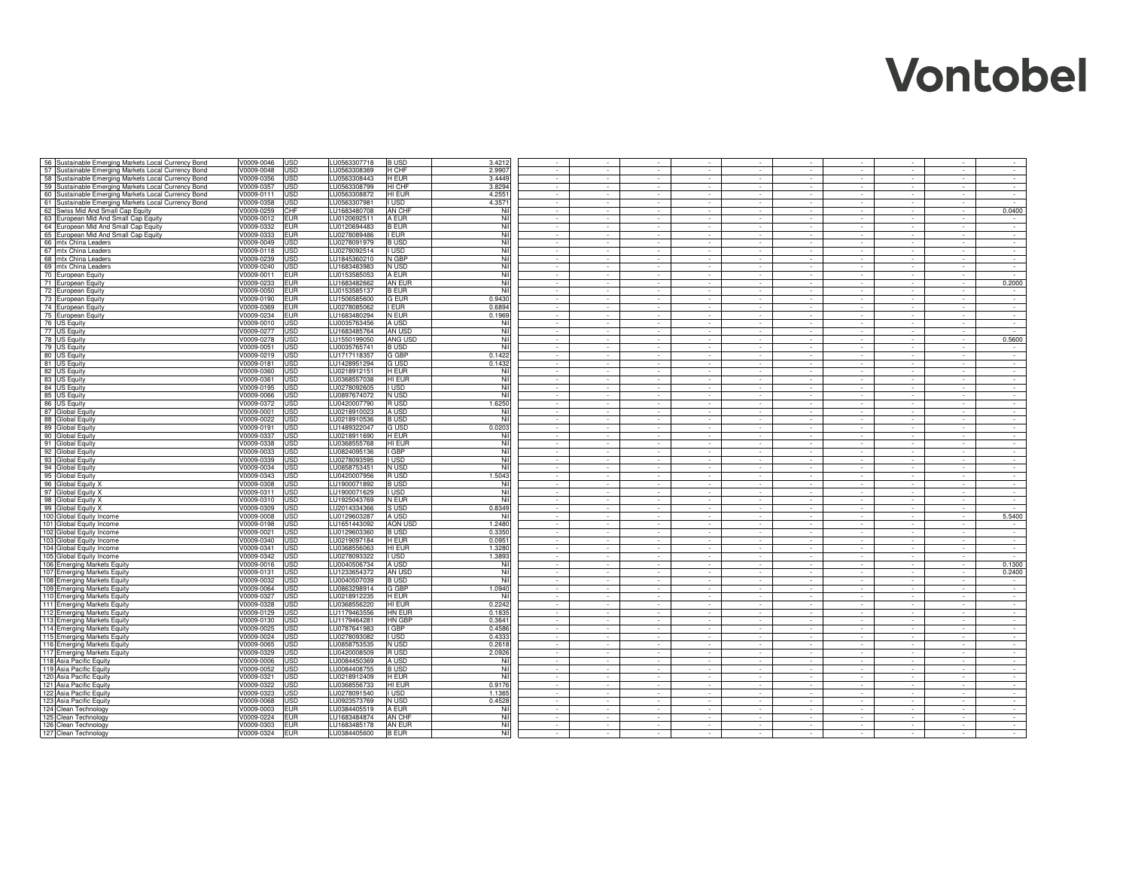| 56 Sustainable Emerging Markets Local Currency Bond        | V0009-0046               | JSD                      | LU0563307718                 | <b>BUSD</b>           | 3.4212        | $\sim$           | $\sim$           |                  | $\sim$<br>$\sim$                     | $\sim$                   | $\sim$<br>$\sim$                     | $\sim$                   | $\sim$           |
|------------------------------------------------------------|--------------------------|--------------------------|------------------------------|-----------------------|---------------|------------------|------------------|------------------|--------------------------------------|--------------------------|--------------------------------------|--------------------------|------------------|
| 57 Sustainable Emerging Markets Local Currency Bond        | V0009-0048               | <b>JSD</b>               | LU0563308369                 | H CHF                 | 2.9907        | $\sim$           | ÷.               |                  | $\sim$<br>$\sim$                     | ÷.                       | $\sim$<br>$\sim$                     | ÷.                       | $\sim$           |
| 58 Sustainable Emerging Markets Local Currency Bond        | V0009-0356               | JSD                      | LU0563308443                 | H EUR                 | 3.4449        |                  |                  |                  | $\sim$                               |                          | $\sim$<br>$\sim$                     | ÷.                       | $\sim$           |
| 59 Sustainable Emerging Markets Local Currency Bond        | V0009-0357               | <b>JSD</b>               | LU0563308799                 | HI CHF                | 3.8294        |                  | ÷.               |                  | a.                                   |                          | $\sim$<br>$\sim$                     | $\sim$                   | $\sim$           |
| 60 Sustainable Emerging Markets Local Currency Bond        | V0009-0111               | JSD                      | LU0563308872                 | HI EUR                | 4.2551        | $\sim$           | $\sim$           | $\sim$           | $\sim$                               | $\sim$                   | $\sim$<br>$\sim$                     | $\sim$                   | $\sim$           |
| 61 Sustainable Emerging Markets Local Currency Bond        | V0009-0358               | JSD                      | LU0563307981                 | I USD                 | 4.3571        |                  |                  | $\sim$           | $\sim$                               | $\sim$                   | $\sim$<br>$\sim$                     | $\sim$                   | in 1919.         |
| 62 Swiss Mid And Small Cap Equity                          | V0009-0259               | CHF                      | LU1683480708                 | AN CHF                | Nil           |                  |                  |                  |                                      |                          | $\sim$                               | $\sim$                   | 0.0400           |
| 63 European Mid And Small Cap Equity                       | V0009-0012               | EUR                      | LU0120692511                 | A EUR                 | Nil           |                  |                  |                  |                                      |                          |                                      | $\overline{\phantom{a}}$ |                  |
| 64 European Mid And Small Cap Equity                       | V0009-0332               | <b>EUR</b>               | LU0120694483                 | <b>B EUR</b>          | Nil           | $\sim$           | $\sim$           | $\sim$           | $\sim$<br>$\sim$                     | $\overline{\phantom{a}}$ | $\sim$<br>$\sim$                     | $\sim$                   | $\sim$           |
| 65 European Mid And Small Cap Equity                       | V0009-0333               | EUR                      | LU0278089486                 | <b>EUR</b>            | Nil           | $\sim$           | $\sim$           | $\sim$           | $\sim$<br>$\sim$                     | $\sim$                   | $\sim$<br>$\sim$                     | $\sim$                   | $\sim$           |
| 66 mtx China Leaders                                       | V0009-0049               | JSD                      | LU0278091979                 | <b>BUSD</b>           | Nil           | $\sim$           | $\sim$           | $\sim$           | $\sim$<br>$\sim$                     | $\sim$                   | $\sim$<br>$\sim$                     | $\sim$                   | $\sim$           |
| 67 mtx China Leaders                                       | V0009-0118               | JSD                      | LU0278092514                 | I USD                 | Nil           | $\sim$           | $\sim$           | $\sim$           | $\sim$<br>$\sim$                     | $\sim$                   | $\sim$<br>$\sim$                     | $\sim$                   | $\sim$           |
| 68 mtx China Leaders                                       | V0009-0239               | JSD                      | LU1845360210                 | N GBP                 | Nil           | $\sim$           | $\sim$           | $\sim$           | $\sim$<br>$\sim$                     | $\sim$                   | $\sim$<br>$\sim$                     | $\sim$                   | $\sim$           |
| 69 mtx China Leaders                                       | V0009-0240               | JSD                      | LU1683483983                 | N USD                 | Nil           | $\sim$           | $\sim$           | $\sim$           | $\sim$<br>$\sim$                     | $\sim$                   | $\sim$<br>$\sim$                     | $\sim$                   | $\sim$           |
| 70 European Equity                                         | V0009-0011               | EUR                      | LU0153585053                 | A EUR                 | Nil           | $\sim$           | $\sim$           | $\sim$           | $\sim$<br>$\sim$                     | ÷.                       | $\sim$<br>$\sim$                     | $\sim$                   |                  |
| 71 European Equity                                         | V0009-0233               | <b>EUR</b>               | LU1683482662                 | AN EUR                | Nil<br>Nil    | $\sim$<br>$\sim$ | $\sim$<br>$\sim$ | $\sim$<br>$\sim$ | $\sim$<br>$\sim$<br>$\sim$<br>×.     | $\sim$<br>$\sim$         | $\sim$<br>$\sim$<br>$\sim$<br>$\sim$ | $\sim$<br>$\sim$         | 0.2000<br>$\sim$ |
| 72 European Equity                                         | V0009-0050               | <b>EUR</b>               | LU0153585137                 | <b>B EUR</b>          | 0.9430        | $\sim$           | $\sim$           | $\sim$           | $\mathcal{L}^{\text{max}}$<br>$\sim$ | $\sim$                   | $\sim$<br>$\sim$                     | $\sim$                   | $\sim$           |
| 73 European Equity                                         | V0009-0190<br>V0009-0369 | <b>EUR</b><br><b>EUR</b> | LU1506585600<br>LU0278085062 | <b>G EUR</b><br>I EUR | 0.6894        | $\sim$           | $\sim$           | $\sim$           | $\sim$                               | $\Delta$                 | $\sim$<br>$\sim$                     | $\sim$                   | $\sim$           |
| 74 European Equity<br>75 European Equity                   | V0009-0234               | <b>EUR</b>               | LU1683480294                 | N EUR                 | 0.1969        | $\sim$           | $\sim$           | $\sim$           | $\sim$                               | $\epsilon$               | $\sim$<br>$\sim$                     | $\sim$                   | $\sim$           |
| 76 US Equity                                               | V0009-0010               | JSD                      | LU0035763456                 | A USD                 | Nil           |                  |                  |                  |                                      |                          |                                      |                          |                  |
| 77 US Equity                                               | V0009-0277               | JSD                      | LU1683485764                 | AN USD                | Nil           |                  | $\sim$           |                  |                                      |                          |                                      | $\overline{\phantom{a}}$ |                  |
| 78 US Equity                                               | V0009-0278               | JSD                      | LU1550199050                 | ANG USD               | Nil           | $\sim$           | $\sim$           | $\sim$           | $\sim$<br>$\sim$                     | $\sim$                   | $\sim$<br>$\sim$                     | $\sim$                   | 0.5600           |
| 79 US Equity                                               | V0009-0051               | <b>JSD</b>               | LU0035765741                 | <b>BUSD</b>           | Nil           | $\sim$           | $\sim$           | $\sim$           | $\sim$<br>$\sim$                     | $\sim$                   | $\sim$<br>$\sim$                     | $\sim$                   | $\sim$           |
| 80 US Equity                                               | V0009-0219               | JSD                      | LU1717118357                 | G GBP                 | 0.1422        | $\sim$           | $\sim$           | $\sim$           | $\sim$<br>$\sim$                     | $\sim$                   | $\sim$<br>$\sim$                     | $\sim$                   | $\sim$           |
| 81 US Equity                                               | V0009-0181               | JSD                      | LU1428951294                 | G USD                 | 0.1432        | $\sim$           | $\sim$           | $\sim$           | $\sim$<br>$\sim$                     | $\sim$                   | $\sim$<br>$\sim$                     | $\sim$                   | $\sim$           |
| 82 US Equity                                               | V0009-0360               | JSD                      | LU0218912151                 | H EUR                 | Nil           | $\sim$           | ×                | $\sim$           | $\sim$<br>×                          | à.                       | $\sim$<br>$\sim$                     | ×.                       | $\sim$           |
| 83 US Equity                                               | V0009-0361               | JSD                      | LU0368557038                 | HI EUR                | Nil           |                  |                  |                  |                                      |                          | $\sim$<br>$\sim$                     |                          | $\sim$           |
| 84 US Equity                                               | V0009-0195               | JSD                      | LU0278092605                 | I USD                 | Nil           |                  |                  |                  | $\sim$                               | ÷.                       | $\sim$<br>$\sim$                     | $\sim$                   | $\sim$           |
| 85<br><b>US Equity</b>                                     | V0009-0066               | JSD                      | LU0897674072                 | N USD                 | Nil           | $\sim$           | $\sim$           | $\sim$           | $\sim$<br>$\sim$                     | $\sim$                   | $\sim$<br>$\sim$                     | $\sim$                   | $\sim$           |
| 86<br><b>US Equity</b>                                     | V0009-0372               | JSD                      | LU0420007790                 | R USD                 | 1.6250        | $\sim$           | $\sim$           | $\sim$           | $\sim$                               | $\sim$                   | $\sim$<br>$\sim$                     | $\sim$                   | $\sim$           |
| 87<br><b>Global Equity</b>                                 | V0009-0001               | JSD                      | LU0218910023                 | A USD                 | Nil           |                  | $\sim$           | $\sim$           |                                      |                          | $\overline{\phantom{a}}$<br>$\sim$   | $\omega$                 | $\sim$           |
| 88<br>Global Equity                                        | V0009-0022               | JSD                      | LU0218910536                 | <b>BUSD</b>           | Nil           |                  |                  |                  |                                      |                          |                                      |                          |                  |
| 89<br><b>Global Equity</b>                                 | V0009-0191               | JSD                      | LU1489322047                 | G USD                 | 0.0203        | $\sim$           | $\sim$           | $\sim$           | $\sim$                               | $\overline{\phantom{a}}$ | $\sim$<br>$\sim$                     | $\sim$                   | $\sim$           |
| 90<br>Global Equity                                        | V0009-0337               | JSD                      | LU0218911690                 | H EUR                 | Nil           | $\sim$           | $\sim$           | $\sim$           | $\sim$<br>$\sim$                     | $\blacksquare$           | $\sim$<br>$\sim$                     | $\overline{\phantom{a}}$ | $\sim$           |
| 91 Global Equity                                           | V0009-0338               | JSD                      | LU0368555768                 | HI EUR                | Nil           | $\sim$           | $\sim$           | $\sim$           | $\sim$<br>$\sim$                     | $\sim$                   | $\sim$<br>$\sim$                     | $\sim$                   | $\sim$           |
| 92 Global Equity                                           | V0009-0033               | JSD                      | LU0824095136                 | GBP                   | Nil           | $\sim$           | $\sim$           | $\sim$           | $\sim$<br>$\sim$                     | $\sim$                   | $\sim$<br>$\sim$                     | $\sim$                   | $\sim$           |
| 93 Global Equity                                           | V0009-0339               | JSD                      | LU0278093595                 | I USD                 | Nil           | $\sim$           | $\sim$           | $\sim$           | $\sim$<br>$\sim$                     | $\sim$                   | $\sim$<br>$\sim$                     | $\sim$                   | $\sim$           |
| 94 Global Equity                                           | V0009-0034               | JSD                      | LU0858753451                 | N USD                 | Nil           | $\sim$           | $\sim$           | $\sim$           | $\sim$<br>$\sim$                     | $\sim$                   | $\sim$<br>$\sim$                     | $\sim$                   | $\sim$           |
| 95 Global Equity                                           | V0009-0343               | JSD                      | LU0420007956                 | R USD                 | 1.5043        | $\sim$           | $\sim$           | $\sim$           | $\sim$<br>$\sim$                     | $\sim$                   | $\sim$<br>$\sim$                     | $\sim$                   | $\sim$           |
| 96 Global Equity X                                         | V0009-0308               | JSD                      | LU1900071892                 | <b>BUSD</b>           | Nil           | $\sim$           | $\sim$           | $\sim$           | $\sim$<br>$\sim$                     | $\sim$                   | $\sim$<br>$\sim$                     | $\sim$                   | $\sim$           |
| 97 Global Equity X                                         | V0009-0311               | JSD                      | LU1900071629                 | I USD                 | Nil           | $\sim$           | $\sim$           | $\sim$           | $\sim$<br>$\sim$                     | $\sim$                   | $\sim$<br>$\sim$                     | $\sim$                   | $\sim$           |
| 98 Global Equity X                                         | V0009-0310               | JSD                      | LU1925043769                 | N EUR                 | Nil           | $\sim$           | $\sim$           | $\sim$           | $\sim$<br>$\sim$                     | -71                      | $\sim$<br>$\sim$                     | T.                       | $\sim$           |
| 99 Global Equity X                                         | V0009-0309               | USD                      | LU2014334366                 | S USD                 | 0.8349        | $\sim$           | $\sim$           | $\sim$           | $\sim$<br>$\sim$                     | $\sim$                   | $\sim$<br>$\sim$                     | $\sim$                   | $\sim$           |
| 100 Global Equity Income                                   | V0009-0008               | JSD                      | LU0129603287                 | A USD                 | Nil           | $\sim$           | $\sim$           | $\sim$           | $\sim$                               |                          | $\sim$                               | $\sim$                   | 5.5400           |
| 101 Global Equity Income                                   | V0009-0198               | JSD                      | LU1651443092                 | AQN USD               | 1.2480        |                  |                  |                  |                                      |                          |                                      | $\sim$                   |                  |
| 102 Global Equity Income                                   | V0009-0021               | JSD                      | LU0129603360                 | <b>BUSD</b>           | 0.3350        |                  |                  |                  |                                      |                          |                                      | $\overline{\phantom{a}}$ | $\cdot$          |
| 103 Global Equity Income                                   | V0009-0340               | JSD                      | LU0219097184                 | H EUR                 | 0.0951        | $\sim$           | $\sim$           | $\sim$           | $\sim$<br>$\sim$                     | $\sim$                   | $\sim$<br>$\sim$                     | $\sim$                   | $\sim$           |
| 104 Global Equity Income                                   | V0009-0341               | <b>JSD</b>               | LU0368556063                 | HI EUR                | 1.3280        | $\sim$           | $\sim$           | $\sim$           | $\sim$<br>$\sim$                     | $\sim$                   | $\sim$<br>$\sim$                     | $\sim$                   | $\sim$ $-$       |
| 105 Global Equity Income                                   | V0009-0342<br>V0009-0016 | JSD<br>JSD               | LU0278093322<br>LU0040506734 | I USD<br>A USD        | 1.3893<br>Nil | $\sim$<br>$\sim$ | $\sim$<br>$\sim$ | $\sim$<br>$\sim$ | $\sim$<br>$\sim$<br>$\sim$<br>$\sim$ | $\sim$<br>$\sim$         | $\sim$<br>$\sim$<br>$\sim$<br>$\sim$ | $\sim$<br>$\sim$         | $\sim$<br>0.1300 |
| 106 Emerging Markets Equity                                |                          |                          |                              |                       | Nil           | $\sim$           | $\sim$           | $\sim$           | $\sim$                               | $\sim$                   | $\sim$<br>$\sim$                     | $\sim$                   | 0.2400           |
| 107 Emerging Markets Equity<br>108 Emerging Markets Equity | V0009-0131<br>V0009-0032 | JSD<br>JSD               | LU1233654372<br>LU0040507039 | AN USD<br><b>BUSD</b> | Nil           | ÷.               | ÷.               |                  | $\sim$                               |                          | ÷.<br>$\sim$                         | $\mathbf{r}$             |                  |
| 109 Emerging Markets Equity                                | V0009-0064               | JSD                      | LU0863298914                 | G GBP                 | 1.0940        |                  |                  |                  |                                      |                          | $\sim$<br>$\sim$                     | $\sim$                   | $\sim$           |
| 110 Emerging Markets Equity                                | V0009-0327               | JSD                      | LU0218912235                 | H EUR                 | Nil           | $\sim$           | $\sim$           | $\sim$           | $\sim$<br>$\sim$                     | $\sim$                   | $\sim$<br>$\sim$                     | $\sim$                   | $\sim$           |
| 111 Emerging Markets Equity                                | V0009-0328               | USD                      | LU0368556220                 | HI EUR                | 0.2242        | $\sim$           | $\sim$           | $\sim$           | $\sim$<br>$\sim$                     | $\sim$                   | $\sim$<br>$\sim$                     | $\sim$                   | $\sim$           |
| 112 Emerging Markets Equity                                | V0009-0129               | JSD                      | LU1179463556                 | HN EUR                | 0.1835        | $\sim$           | $\sim$           | $\sim$           | $\sim$                               | $\sim$                   | $\sim$<br>$\sim$                     | $\sim$                   | $\sim$           |
| 113 Emerging Markets Equity                                | V0009-0130               | JSD                      | LU1179464281                 | HN GBP                | 0.3641        |                  |                  |                  |                                      |                          |                                      | $\sim$                   |                  |
| 114 Emerging Markets Equity                                | V0009-0025               | JSD                      | LU0787641983                 | I GBP                 | 0.4586        | $\sim$           | $\sim$           |                  |                                      |                          | $\sim$                               | $\overline{\phantom{a}}$ | $\sim$           |
| 115 Emerging Markets Equity                                | V0009-0024               | JSD                      | LU0278093082                 | <b>USD</b>            | 0.4333        | $\sim$           | $\sim$           | $\sim$           | $\sim$<br>$\sim$                     | $\sim$                   | $\sim$<br>$\sim$                     | $\sim$                   | $\sim$           |
| 116 Emerging Markets Equity                                | V0009-0065               | <b>JSD</b>               | LU0858753535                 | N USD                 | 0.2618        | $\sim$           | $\sim$           | $\sim$           | $\sim$<br>$\sim$                     | $\sim$                   | $\sim$<br>$\sim$                     | $\sim$                   | $\sim$           |
| 117 Emerging Markets Equity                                | /0009-0329               | JSD                      | LU0420008509                 | R USD                 | 2.0926        | $\sim$           | $\sim$           | $\sim$           | $\sim$<br>$\sim$                     | $\sim$                   | $\sim$<br>$\sim$                     | $\sim$                   | $\sim$           |
| 118 Asia Pacific Equity                                    | V0009-0006               | JSD                      | LU0084450369                 | A USD                 | Nil           | $\sim$           | $\sim$           | $\sim$           | $\sim$<br>$\sim$                     | $\sim$                   | $\sim$<br>$\sim$                     | $\sim$                   | $\sim$           |
| 119 Asia Pacific Equity                                    | V0009-0052               | JSD                      | LU0084408755                 | <b>BUSD</b>           | Nil           | $\sim$           | $\sim$           | $\sim$           | $\sim$<br>$\sim$                     | $\sim$                   | $\sim$<br>$\sim$                     | $\sim$                   | $\sim$           |
| 120 Asia Pacific Equity                                    | V0009-0321               | JSD                      | LU0218912409                 | H EUR                 | Nil           | $\sim$           | $\sim$           | $\sim$           | $\sim$<br>$\sim$                     | $\sim$                   | $\sim$<br>$\sim$                     | $\sim$                   | $\sim$           |
| 121 Asia Pacific Equity                                    | V0009-0322               | <b>JSD</b>               | LU0368556733                 | HI EUR                | 0.9176        | $\sim$           | $\sim$           | $\sim$           | $\sim$<br>$\sim$                     | $\sim$                   | $\mathcal{L}^{\pm}$<br>$\sim$        | ÷.                       | $\sim$           |
| 122 Asia Pacific Equity                                    | V0009-0323               | JSD                      | LU0278091540                 | I USD                 | 1.1365        | $\sim$           | $\sim$           | $\sim$           | $\sim$<br>$\sim$                     | $\sim$                   | $\sim$<br>$\sim$                     | $\sim$                   | $\sim$           |
| 123 Asia Pacific Equity                                    | V0009-0068               | <b>JSD</b>               | LU0923573769                 | N USD                 | 0.4528        | $\sim$           | $\sim$           | $\sim$           | $\sim$<br>$\sim$                     | $\sim$                   | $\sim$<br>$\sim$                     | $\sim$                   | $\sim$           |
| 124 Clean Technology                                       | V0009-0003               | <b>EUR</b>               | LU0384405519                 | A EUR                 | Nil           | $\sim$           | $\sim$           | $\sim$           | $\sim$<br>$\sim$                     | $\sim$                   | $\sim$<br>$\sim$                     | $\sim$                   | $\sim$           |
| 125 Clean Technology                                       | V0009-0224               | <b>EUR</b>               | LU1683484874                 | AN CHF                | Nil           | $\sim$           | $\sim$           | $\sim$           | $\sim$                               | $\sim$                   | $\sim$<br>$\sim$                     | $\sim$                   | $\sim$           |
| 126 Clean Technology                                       | V0009-0303               | <b>EUR</b>               | LU1683485178                 | AN EUR                | Nil           |                  |                  |                  |                                      |                          |                                      |                          |                  |
| 127 Clean Technology                                       | V0009-0324               | <b>EUR</b>               | LU0384405600                 | <b>B EUR</b>          | Nil           |                  |                  |                  |                                      |                          |                                      |                          |                  |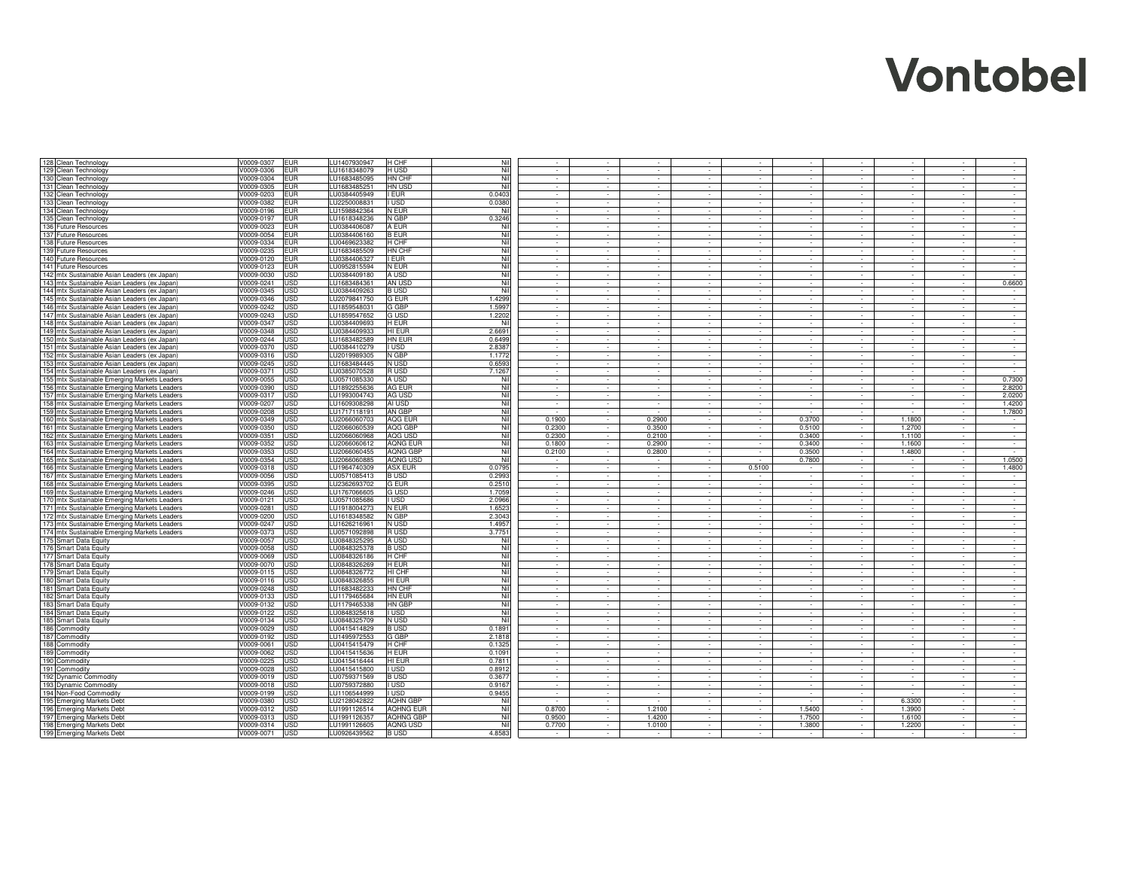| 128 Clean Technology                                   | V0009-0307<br><b>EUR</b>                   | LU1407930947<br>H CHF                                   | Nil           |        | $\sim$                   |          | $\sim$                      | $\sim$   | $\sim$                      | $\sim$                      | $\sim$   | $\sim$                      |                |
|--------------------------------------------------------|--------------------------------------------|---------------------------------------------------------|---------------|--------|--------------------------|----------|-----------------------------|----------|-----------------------------|-----------------------------|----------|-----------------------------|----------------|
| 129 Clean Technology                                   | V0009-0306<br><b>EUR</b>                   | LU1618348079<br>H USD                                   | Nil           |        | $\sim$                   |          |                             | $\sim$   | $\sim$                      | ÷.                          | $\sim$   | ÷.                          | $\sim$         |
| 130 Clean Technology                                   | V0009-0304<br><b>EUR</b>                   | LU1683485095<br>HN CHF                                  | Nil           |        | $\sim$                   |          |                             |          |                             | $\sim$                      | $\sim$   |                             | $\sim$         |
|                                                        |                                            |                                                         |               |        |                          |          |                             |          |                             |                             |          |                             |                |
| 131 Clean Technology                                   | V0009-0305<br><b>EUR</b>                   | LU1683485251<br>HN USD                                  | Nil           |        | $\sim$                   |          |                             |          |                             | $\sim$                      | $\sim$   | in 1919.                    | $\sim$         |
| 132 Clean Technology                                   | V0009-0203<br><b>EUR</b>                   | LU0384405949<br><b>EUR</b>                              | 0.0403        |        | $\sim$                   | $\sim$   | $\sim$                      |          | $\sim$                      | $\sim$                      | $\sim$   | $\sim$                      | $\sim$         |
| 133 Clean Technology                                   | V0009-0382<br><b>EUR</b>                   | LU2250008831<br>I USD                                   | 0.0380        |        |                          |          |                             |          |                             | $\sim$                      |          | $\sim$                      | $\sim$         |
| 134 Clean Technology                                   | V0009-0196<br><b>EUR</b>                   | LU1598842364<br>N EUR                                   | Nil           |        | $\sim$                   |          |                             |          |                             | $\sim$                      |          | $\sim$                      | $\sim$         |
| 135 Clean Technology                                   | V0009-0197<br><b>EUR</b>                   | LU1618348236<br>N GBP                                   | 0.3246        |        |                          |          |                             |          |                             |                             |          |                             |                |
|                                                        |                                            |                                                         |               |        |                          |          |                             |          |                             |                             |          |                             |                |
| 136 Future Resources                                   | V0009-0023<br><b>EUR</b>                   | LU0384406087<br>A EUR                                   | Nil           | $\sim$ | $\sim$                   | $\sim$   | $\sim$                      | $\sim$   | $\sim$                      | $\sim$                      | $\sim$   | $\sim$                      | $\sim$         |
| 137 Future Resources                                   | V0009-0054<br><b>EUR</b>                   | LU0384406160<br><b>B EUR</b>                            | Nil           | $\sim$ | $\sim$                   | $\sim$   | $\sim$                      | $\sim$   | $\sim$                      | $\sim$                      | $\sim$   | $\overline{\phantom{a}}$    | $\sim$         |
| 138 Future Resources                                   | V0009-0334<br><b>EUR</b>                   | LU0469623382<br><b>H</b> CHF                            | Nil           | $\sim$ | $\sim$                   | $\sim$   | $\sim$                      | $\sim$   | $\sim$                      | $\sim$                      | $\sim$   | $\sim$                      | $\sim$         |
| 139 Future Resources                                   | <b>EUR</b><br>V0009-0235                   | LU1683485509<br>HN CHF                                  | Nil           | $\sim$ | $\sim$                   | $\sim$   | $\sim$                      | $\sim$   | $\sim$                      | $\sim$                      | $\sim$   | $\sim$                      | $\sim 10^{-1}$ |
|                                                        |                                            |                                                         | Nil           |        |                          |          |                             |          |                             |                             |          |                             |                |
| 140 Future Resources                                   | <b>EUR</b><br>/0009-0120                   | LU0384406327<br>I EUR                                   |               | $\sim$ | $\sim$                   | $\sim$   | $\sim$                      | $\sim$   | $\sim$                      | $\sim$                      | $\sim$   | $\sim$                      | $\sim$         |
| 141 Future Resources                                   | V0009-0123<br><b>EUR</b>                   | LU0952815594<br>N EUR                                   | Nil           | $\sim$ | $\sim$                   | $\sim$   | $\sim$                      | $\sim$   | $\sim$                      | $\sim$                      | $\sim$   | $\sim$                      | $\sim$         |
| 142 mtx Sustainable Asian Leaders (ex Japan)           | USD<br>V0009-0030                          | LU0384409180<br>A USD                                   | Nil           | $\sim$ | $\sim$                   | $\sim$   | $\sim$                      | $\sim$   | $\sim$                      | $\sim$                      | $\sim$   | $\sim$                      |                |
| 143 mtx Sustainable Asian Leaders (ex Japan)           | V0009-0241<br>USD                          | LU1683484361<br>AN USD                                  | Nil           | $\sim$ | $\sim$                   | $\sim$   | $\sim$                      | $\sim$   | $\sim$                      | $\sim$                      | $\sim$   | $\sim$                      | 0.6600         |
| 144 mtx Sustainable Asian Leaders (ex Japan)           | V0009-0345<br><b>USD</b>                   | LU0384409263<br><b>BUSD</b>                             | Nil           | $\sim$ | $\sim$                   | $\sim$   | $\sim$                      | ×        | $\sim$                      | $\sim$                      | $\sim$   | ×.                          | $\sim$         |
|                                                        |                                            |                                                         |               |        |                          |          |                             |          |                             |                             |          |                             |                |
| 145 mtx Sustainable Asian Leaders (ex Japan)           | V0009-0346<br><b>USD</b>                   | LU2079841750<br><b>G EUR</b>                            | 1.4299        | $\sim$ | $\sim$                   | $\sim$   | $\sim$                      | $\sim$   | $\sim$                      | $\sim$                      | $\sim$   | $\sim$                      | $\sim$         |
| 146 mtx Sustainable Asian Leaders (ex Japan)           | <b>USD</b><br>V0009-0242                   | G GBP<br>LU1859548031                                   | 1.5997        | $\sim$ | $\sim$                   | $\sim$   | $\sim$                      | $\sim$   | $\sim$                      | $\sim$                      | $\sim$   | $\sim$                      | $\sim$         |
| 147 mtx Sustainable Asian Leaders (ex Japan)           | <b>USD</b><br>V0009-0243                   | <b>G USD</b><br>LU1859547652                            | 1.2202        |        | $\sim$                   |          |                             |          |                             |                             |          | $\sim$                      |                |
| 148 mtx Sustainable Asian Leaders (ex Japan)           | V0009-0347<br><b>USD</b>                   | LU0384409693<br>H EUR                                   | Nil           |        |                          |          |                             |          |                             |                             |          |                             |                |
|                                                        |                                            |                                                         |               |        |                          |          |                             |          |                             |                             |          |                             |                |
| 149 mtx Sustainable Asian Leaders (ex Japan)           | V0009-0348<br><b>USD</b>                   | LU0384409933<br>HI EUR                                  | 2.6691        |        | $\overline{\phantom{a}}$ |          |                             |          |                             |                             |          |                             |                |
| 150 mtx Sustainable Asian Leaders (ex Japan)           | V0009-0244<br><b>USD</b>                   | LU1683482589<br>HN EUR                                  | 0.6499        | $\sim$ | $\sim$                   | $\sim$   | $\sim$                      | $\sim$   | $\sim$                      | $\sim$                      | $\sim$   | $\sim$                      | $\sim$         |
| 151 mtx Sustainable Asian Leaders (ex Japan)           | V0009-0370<br><b>USD</b>                   | LU0384410279<br><b>USD</b>                              | 2.8387        | $\sim$ | $\sim$                   | $\sim$   | $\sim$                      | $\sim$   | $\sim$                      | $\sim$                      | $\sim$   | $\sim$                      | $\sim$         |
| 152 mtx Sustainable Asian Leaders (ex Japan)           | V0009-0316<br>USD                          | N GBP<br>LU2019989305                                   | 1.1772        | $\sim$ | $\sim$                   | $\sim$   | $\sim$                      | $\sim$   | $\sim$                      | $\sim$                      | $\sim$   | $\sim$                      | $\sim$         |
|                                                        |                                            |                                                         | 0.6593        |        |                          |          |                             |          |                             |                             |          |                             |                |
| 153 mtx Sustainable Asian Leaders (ex Japan)           | V0009-0245<br>USD                          | N USD<br>LU1683484445                                   |               | $\sim$ | $\sim$                   | $\sim$   | $\sim$                      | $\sim$   | $\sim$                      | $\sim$                      | $\sim$   | $\sim$                      | $\sim 10^{-1}$ |
| 154 mtx Sustainable Asian Leaders (ex Japan)           | V0009-0371<br>USD                          | LU0385070528<br>R USD                                   | 7.1267        | $\sim$ | ×                        |          | $\sim$                      |          | ÷.                          | $\mathcal{L}_{\mathcal{A}}$ | $\sim$   | à.                          |                |
| 155 mtx Sustainable Emerging Markets Leaders           | V0009-0055<br>USD                          | LU0571085330<br>A USD                                   | Nil           |        | $\sim$                   |          |                             |          |                             | $\sim$                      |          |                             | 0.7300         |
| 156 mtx Sustainable Emerging Markets Leaders           | V0009-0390<br><b>USD</b>                   | LU1892255636<br>AG EUR                                  | Nil           |        | $\sim$                   |          |                             |          |                             | $\sim$                      | $\sim$   |                             | 2.8200         |
|                                                        |                                            |                                                         |               | $\sim$ | $\sim$                   | in 1919. | $\sim$                      |          | $\sim$                      | $\sim$                      | $\sim$   | $\sim$                      |                |
| 157 mtx Sustainable Emerging Markets Leaders           | <b>USD</b><br>V0009-0317                   | LU1993004743<br>AG USD                                  | Nil           |        |                          |          |                             |          |                             |                             |          |                             | 2.0200         |
| 158 mtx Sustainable Emerging Markets Leaders           | V0009-0207<br>USD                          | AI USD<br>LU1609308298                                  | Nil           | $\sim$ | $\sim$                   | $\sim$   | $\sim$                      | in 1919. | $\sim$                      | $\sim$                      | $\sim$   | $\sim$                      | 1.4200         |
| 159 mtx Sustainable Emerging Markets Leaders           | V0009-0208<br>USD                          | AN GBP<br>LU1717118191                                  | Nil           |        | $\sim$                   |          |                             |          |                             | $\sim$                      |          | $\mathcal{L}_{\mathcal{A}}$ | 1.7800         |
| 160 mtx Sustainable Emerging Markets Leaders           | V0009-0349<br>USD                          | LU2066060703<br>AQG EUR                                 | Nil           | 0.1900 |                          | 0.2900   |                             |          | 0.3700                      |                             | 1.1800   | $\overline{\phantom{a}}$    |                |
| 161 mtx Sustainable Emerging Markets Leaders           | V0009-0350<br>USD                          | LU2066060539<br>AQG GBP                                 | Nil           | 0.2300 |                          | 0.3500   |                             |          | 0.5100                      |                             | 1.2700   | $\sim$                      | $\sim$         |
|                                                        |                                            |                                                         |               |        | $\sim$                   |          | $\sim$                      | $\sim$   |                             | $\sim$                      |          |                             |                |
| 162 mtx Sustainable Emerging Markets Leaders           | V0009-0351<br>USD                          | LU2066060968<br>AQG USD                                 | Nil           | 0.2300 | $\sim$                   | 0.2100   | $\sim$                      | $\sim$   | 0.3400                      | $\sim$                      | 1.1100   | $\sim$                      | $\sim$         |
| 163 mtx Sustainable Emerging Markets Leaders           | V0009-0352<br>USD                          | LU2066060612<br><b>AONG EUR</b>                         | Nil           | 0.1800 | $\sim$                   | 0.2900   | $\sim$                      | $\sim$   | 0.3400                      | $\sim$                      | 1.1600   | $\sim$                      | $\sim$         |
|                                                        |                                            |                                                         |               |        |                          |          |                             |          |                             |                             |          |                             |                |
|                                                        |                                            |                                                         |               |        |                          |          | $\sim$                      | $\sim$   |                             |                             |          |                             |                |
| 164 mtx Sustainable Emerging Markets Leaders           | USD<br>V0009-0353                          | LU2066060455<br>AONG GBP                                | Nil           | 0.2100 | $\sim$                   | 0.2800   |                             |          | 0.3500                      | $\sim$                      | 1.4800   | $\overline{\phantom{a}}$    |                |
| 165 mtx Sustainable Emerging Markets Leaders           | V0009-0354<br>USD                          | <b>AQNG USD</b><br>LU2066060885                         | Nil           | $\sim$ | $\sim$                   | $\sim$   | $\sim$                      | $\sim$   | 0.7800                      | $\sim$                      | $\sim$   | $\sim$                      | 1.0500         |
| 166 mtx Sustainable Emerging Markets Leaders           | V0009-0318<br>USD                          | LU1964740309<br>ASX EUR                                 | 0.0795        | $\sim$ | $\sim$                   | $\sim$   | $\sim$                      | 0.5100   | $\sim$                      | $\sim$                      | $\sim$   | $\sim$                      | 1.4800         |
| 167 mtx Sustainable Emerging Markets Leaders           | USD<br>/0009-0056                          | LU0571085413<br><b>BUSD</b>                             | 0.2993        | $\sim$ | $\sim$                   |          | $\sim$                      |          | $\sim$                      | $\sim$                      | $\sim$   | $\overline{\phantom{a}}$    |                |
|                                                        | USD<br>V0009-0395                          | LU2362693702<br><b>G EUR</b>                            | 0.2510        | $\sim$ | $\sim$                   | $\sim$   | $\sim$                      | $\sim$   | $\sim$                      | $\sim$                      | $\sim$   | $\sim$                      | $\sim$         |
| 168 mtx Sustainable Emerging Markets Leaders           |                                            |                                                         |               | $\sim$ |                          | $\sim$   | $\sim$                      | $\sim$   | $\sim$                      |                             | $\sim$   | $\sim$                      | $\sim$         |
| 169 mtx Sustainable Emerging Markets Leaders           | V0009-0246<br>USD                          | LU1767066605<br><b>G USD</b>                            | 1.7059        |        | $\sim$                   |          |                             |          |                             | $\sim$                      |          |                             |                |
| 170 mtx Sustainable Emerging Markets Leaders           | <b>USD</b><br>V0009-0121                   | LU0571085686<br>I USD                                   | 2.0966        | $\sim$ | $\sim$                   | $\sim$   | $\sim$                      | in 1919. | $\sim$                      | $\sim$                      | $\sim$   | $\sim$                      | $\sim$         |
| 171 mtx Sustainable Emerging Markets Leaders           | <b>USD</b><br>V0009-0281                   | LU1918004273<br>N EUR                                   | 1.6523        | $\sim$ | $\sim$                   | $\sim$   | $\Delta$                    |          | ÷.                          | $\sim$                      | $\sim$   | $\sim$                      | $\sim$         |
| 172 mtx Sustainable Emerging Markets Leaders           | V0009-0200<br><b>USD</b>                   | N GBP<br>LU1618348582                                   | 2.3043        | $\sim$ | $\sim$                   | $\sim$   | $\sim$                      | $\sim$   | $\sim$                      | $\sim$                      | $\sim$   | $\sim$                      | $\sim$         |
| 173 mtx Sustainable Emerging Markets Leaders           | V0009-0247<br><b>USD</b>                   | LU1626216961<br>N USD                                   | 1.4957        |        |                          |          |                             |          |                             |                             |          |                             |                |
|                                                        |                                            |                                                         |               |        |                          |          |                             |          |                             |                             |          | $\overline{\phantom{a}}$    |                |
| 174 mtx Sustainable Emerging Markets Leaders           | V0009-0373<br><b>USD</b>                   | LU0571092898<br>R USD                                   | 3.7751        |        |                          |          |                             |          |                             |                             |          |                             |                |
| 175 Smart Data Equity                                  | V0009-0057<br>USD                          | LU0848325295<br>A USD                                   | Nil           | $\sim$ | $\sim$                   | $\sim$   | $\sim$                      | $\sim$   | $\sim$                      | $\sim$                      | $\sim$   | $\sim$                      | $\sim$         |
| 176 Smart Data Equity                                  | V0009-0058<br><b>USD</b>                   | LU0848325378<br><b>BUSD</b>                             | Nil           | $\sim$ | $\sim$                   | $\sim$   | $\sim$                      | $\sim$   | $\sim$                      | $\sim$                      | $\sim$   | $\sim$                      | $\sim$         |
| 177 Smart Data Equity                                  | V0009-0069<br><b>USD</b>                   | LU0848326186<br>H CHF                                   | Nil           | $\sim$ | $\sim$                   | $\sim$   | $\sim$                      | $\sim$   | $\sim$                      | $\sim$                      | $\sim$   | $\sim$                      | $\sim$         |
| 178 Smart Data Equity                                  | V0009-0070<br>USD                          | <b>H EUR</b><br>LU0848326269                            | Nil           | $\sim$ | $\sim$                   | $\sim$   | $\sim$                      | $\sim$   | $\sim$                      | $\sim$                      | $\sim$   | $\sim$                      | $\sim$         |
|                                                        |                                            |                                                         |               | $\sim$ | $\sim$                   | $\sim$   | $\sim$                      | $\sim$   | $\sim$                      | $\sim$                      | $\sim$   | $\sim$                      | $\sim$         |
| 179 Smart Data Equity                                  | V0009-0115<br>USD                          | LU0848326772<br>HI CHF                                  | Nil           |        |                          |          |                             |          |                             |                             |          |                             |                |
| 180 Smart Data Equity                                  | V0009-0116<br>USD                          | HI EUR<br>LU0848326855                                  | Nil           |        | $\sim$                   |          |                             |          |                             | $\sim$                      |          |                             | $\sim$         |
| 181 Smart Data Equity                                  | V0009-0248<br><b>USD</b>                   | LU1683482233<br>HN CHE                                  | Nil           |        | $\sim$                   |          |                             |          | $\sim$                      | $\sim$                      | $\sim$   | $\sim$                      | $\sim$         |
|                                                        | V0009-0133<br>USD                          | HN EUR                                                  | Nil           | $\sim$ | $\sim$                   |          | $\sim$                      |          | $\sim$                      | $\sim$                      | $\sim$   | $\sim$                      | $\sim$         |
| 182 Smart Data Equity                                  |                                            | LU1179465684                                            | Nil           |        | $\sim$                   |          | $\sim$                      |          | a.                          | $\sim$                      | in 1999. | $\sim$                      | $\sim$         |
| 183 Smart Data Equity                                  | V0009-0132<br>USD                          | <b>HN GBP</b><br>LU1179465338                           |               |        |                          |          |                             |          |                             |                             |          |                             |                |
| 184 Smart Data Equity                                  | USD<br>V0009-0122                          | LU0848325618<br>I USD                                   | Nil           |        |                          |          |                             |          |                             | $\sim$                      |          | $\sim$                      | $\sim$         |
| 185 Smart Data Equity                                  | V0009-0134<br>USD                          | LU0848325709<br>N USD                                   | Nil           |        |                          |          |                             |          |                             |                             |          |                             |                |
| 186 Commodity                                          | V0009-0029<br>USD                          | LU0415414829<br><b>BUSD</b>                             | 0.1891        |        | $\sim$                   |          |                             |          |                             | $\sim$                      |          | $\overline{\phantom{a}}$    | $\sim$         |
| 187 Commodity                                          | V0009-0192<br>USD                          | LU1495972553<br>G GBP                                   | 2.1818        | $\sim$ | $\sim$                   | $\sim$   | $\sim$                      | $\sim$   | $\sim$                      | $\sim$                      | $\sim$   | $\sim$                      | $\sim$         |
|                                                        | V0009-0061<br>USD                          | H CHF                                                   | 0.1325        | $\sim$ | $\sim$                   | $\sim$   | $\sim$                      | $\sim$   | $\sim$                      | $\sim$                      | $\sim$   | $\sim$                      | $\sim$         |
| 188 Commodity                                          |                                            | LU0415415479                                            |               |        |                          |          |                             |          |                             |                             |          |                             |                |
| 189 Commodity                                          | V0009-0062<br>USD                          | <b>HEUR</b><br>LU0415415636                             | 0.1091        | $\sim$ | $\sim$                   | $\sim$   | $\sim$                      | $\sim$   | $\sim$                      | $\sim$                      | $\sim$   | $\sim$                      | $\sim$         |
| 190 Commodity                                          | /0009-0225<br>USD                          | LU0415416444<br>HI EUR                                  | 0.7811        | $\sim$ | $\sim$                   | $\sim$   | $\sim$                      | $\sim$   | $\sim$                      | $\sim$                      | $\sim$   | $\sim$                      | $\sim 10^{-1}$ |
| 191 Commodity                                          | V0009-0028<br>USD                          | LU0415415800<br>I USD                                   | 0.8912        | $\sim$ | $\sim$                   | $\sim$   | $\sim$                      | $\cdot$  | $\sim$                      | $\sim$                      | $\sim$   | $\sim$                      | $\sim$         |
| 192 Dynamic Commodity                                  | V0009-0019<br>USD                          | LU0759371569<br>B USD                                   | 0.3677        | $\sim$ | $\sim$                   | $\sim$   | $\sim$                      | $\sim$   | $\sim$                      | $\sim$                      | $\sim$   | $\sim$                      | $\sim$         |
|                                                        |                                            |                                                         |               | $\sim$ | $\sim$                   | $\sim$   | $\sim$                      | $\sim$   | $\sim$                      | $\sim$                      | $\sim$   | ÷.                          | $\sim$         |
| 193 Dynamic Commodity                                  | USD<br>V0009-0018                          | <b>USD</b><br>LU0759372880                              | 0.9167        |        |                          |          |                             |          |                             |                             |          |                             |                |
| 194 Non-Food Commodity                                 | V0009-0199<br>USD                          | LU1106544999<br><b>USD</b>                              | 0.9455        | $\sim$ | $\sim$                   | $\sim$   | $\sim$                      | $\sim$   | $\sim$                      | $\sim$                      | $\sim$   | $\sim$                      | $\sim$         |
| 195 Emerging Markets Debt                              | V0009-0380<br><b>USD</b>                   | LU2128042822<br><b>AQHN GBP</b>                         | Nil           | $\sim$ | ÷                        | in 1999. | $\mathcal{L}^{\mathcal{L}}$ | $\sim$   | $\mathcal{L}^{\mathcal{L}}$ | $\sim$                      | 6.3300   | $\sim$                      | $\sim$         |
| 196 Emerging Markets Debt                              | V0009-0312<br><b>USD</b>                   | <b>AQHNG EUR</b><br>LU1991126514                        | Nil           | 0.8700 | $\sim$                   | 1.2100   | $\sim$                      | $\sim$   | 1.5400                      | $\sim$                      | 1.3900   | $\sim$                      | $\sim$         |
|                                                        | V0009-0313<br><b>USD</b>                   | LU1991126357<br><b>AQHNG GBP</b>                        | Nil           | 0.9500 | $\sim$                   | 1.4200   | $\sim$                      |          | 1.7500                      | $\sim$                      | 1.6100   | $\sim$                      | $\sim$         |
| 197 Emerging Markets Debt                              |                                            |                                                         |               |        |                          |          |                             |          |                             |                             |          |                             |                |
| 198 Emerging Markets Debt<br>199 Emerging Markets Debt | V0009-0314 USD<br>V0009-0071<br><b>USD</b> | LU1991126605<br>AQNG USD<br>LU0926439562<br><b>BUSD</b> | Nil<br>4.8583 | 0.7700 |                          | 1.0100   |                             |          | 1.3800                      |                             | 1.2200   |                             |                |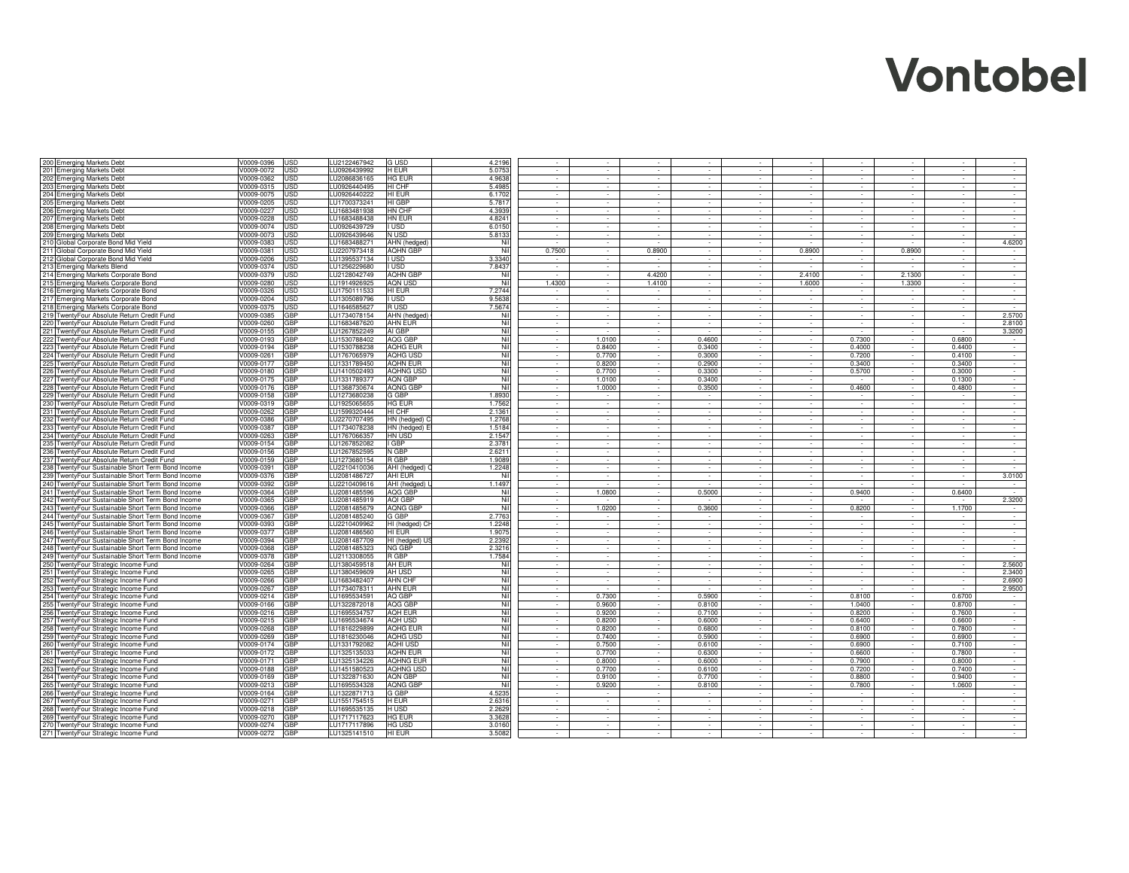| 200 Emerging Markets Debt                                                                              | V0009-0396               | JSD        | LU2122467942                 | G USD                    | 4.2196           |                  |                  |                  | $\sim$                      | $\sim$<br>$\sim$                                            | $\sim$                       | $\sim$           | $\sim$                   |                  |
|--------------------------------------------------------------------------------------------------------|--------------------------|------------|------------------------------|--------------------------|------------------|------------------|------------------|------------------|-----------------------------|-------------------------------------------------------------|------------------------------|------------------|--------------------------|------------------|
| 201 Emerging Markets Debt                                                                              | V0009-0072               | <b>JSD</b> | LU0926439992                 | H EUR                    | 5.0753           |                  |                  |                  |                             |                                                             | ÷.                           | $\sim$           | ÷.                       | $\sim$           |
| 202 Emerging Markets Debt                                                                              | V0009-0362               | JSD        | LU2086836165                 | <b>HG EUR</b>            | 4.9638           |                  |                  |                  |                             |                                                             | $\sim$                       |                  |                          |                  |
| 203 Emerging Markets Debt                                                                              | V0009-0315               | <b>JSD</b> | LU0926440495                 | HI CHF                   | 5.4985           |                  |                  |                  |                             |                                                             | $\sim$                       |                  |                          | $\sim$           |
| 204 Emerging Markets Debt                                                                              | V0009-0075               | JSD        | LU0926440222                 | HI EUR                   | 6.1702           |                  |                  |                  |                             |                                                             | $\sim$                       | $\sim$           | $\sim$                   | $\sim$           |
| 205 Emerging Markets Debt                                                                              | V0009-0205               | JSD        | LU1700373241                 | HI GBP                   | 5.7817           |                  |                  |                  |                             |                                                             |                              |                  | $\sim$                   |                  |
| 206 Emerging Markets Debt                                                                              | V0009-0227               | JSD        | LU1683481938                 | HN CHF                   | 4.3939           |                  |                  |                  |                             |                                                             |                              |                  | $\sim$                   | $\sim$           |
| 207 Emerging Markets Debt                                                                              | V0009-0228               | JSD        | LU1683488438                 | HN EUR                   | 4.8241           |                  |                  |                  |                             |                                                             |                              |                  |                          |                  |
| 208 Emerging Markets Debt                                                                              | V0009-0074               | JSD        | LU0926439729                 | I USD                    | 6.0150           |                  |                  |                  |                             |                                                             | $\sim$                       | $\sim$           | $\overline{\phantom{a}}$ | $\sim$           |
| 209 Emerging Markets Debt                                                                              | V0009-0073               | JSD        | LU0926439646                 | N USD                    | 5.8133           | $\sim$           | $\sim$           | $\sim$           | $\sim$                      | $\sim$<br>$\sim$                                            | $\sim$                       | $\sim$           | $\overline{\phantom{a}}$ | $\sim$           |
| 210 Global Corporate Bond Mid Yield                                                                    | V0009-0383               | JSD        | LU1683488271                 | AHN (hedged)             | Nil              |                  | $\sim$           |                  | $\sim$                      | $\sim$<br>٠                                                 | $\sim$                       | $\sim$           | $\sim$                   | 4.6200           |
| 211 Global Corporate Bond Mid Yield                                                                    | V0009-0381               | JSD        | LU2207973418                 | AQHN GBP                 | Nil<br>3.3340    | 0.7500           | $\sim$           | 0.8900           | $\sim$                      | 0.8900<br>$\sim$                                            | $\sim$                       | 0.8900           | $\sim$                   | $\sim$           |
| 212 Global Corporate Bond Mid Yield                                                                    | V0009-0206<br>V0009-0374 | JSD<br>JSD | LU1395537134                 | I USD<br>I USD           | 7.8437           | $\sim$<br>$\sim$ | $\sim$<br>$\sim$ | $\sim$<br>$\sim$ | $\sim$<br>$\sim$            | $\sim$<br>$\sim$<br>$\sim$<br>$\sim$                        | $\sim$<br>$\sim$             | $\sim$<br>$\sim$ | $\sim$<br>$\sim$         | $\sim$<br>$\sim$ |
| 213 Emerging Markets Blend<br>214 Emerging Markets Corporate Bond                                      |                          | JSD        | LU1256229680<br>LU2128042749 | <b>AQHN GBP</b>          | Nil              |                  | $\epsilon$       | 4.4200           | $\sim$                      | 2.4100<br>$\sim$                                            | $\sim$                       | 2.1300           | $\sim$                   | $\sim$           |
| 215 Emerging Markets Corporate Bond                                                                    | V0009-0379<br>V0009-0280 | JSD        | LU1914926925                 | <b>AON USD</b>           | Nil              | 1.4300           | $\sim$           | 1.4100           | $\sim$                      | 1.6000<br>$\sim$                                            | $\sim$                       | 1.3300           | $\sim$                   | $\sim$           |
| 216 Emerging Markets Corporate Bond                                                                    | V0009-0326               | JSD        | LU1750111533                 | HI EUR                   | 7.2744           | $\sim$           | $\sim$           |                  | $\sim$                      | $\sim$<br>$\sim$                                            | $\mathcal{L}_{\mathrm{max}}$ | $\sim$           | $\sim$                   | $\sim$           |
| 217 Emerging Markets Corporate Bond                                                                    | V0009-0204               | <b>JSD</b> | LU1305089796                 | I USD                    | 9.5638           | T.               | T.               | $\sim$           | $\sim$                      | $\sim$<br>$\sim$                                            | $\sim$                       | $\sim$           | $\sim$                   | $\sim 10^{-1}$   |
| 218 Emerging Markets Corporate Bond                                                                    | V0009-0375               | USD        | LU1646585627                 | R USD                    | 7.5674           | $\sim$           | $\sim$           | $\sim$           | $\mathcal{L}^{\mathcal{L}}$ | $\sim$                                                      | $\sim$                       | $\sim$           | $\sim$                   | $\sim$           |
| 219 TwentyFour Absolute Return Credit Fund                                                             | V0009-0385               | GBP        | LU1734078154                 | AHN (hedged)             | Nil              | $\sim$           | $\sim$           | $\sim$           | $\sim$                      | $\sim$                                                      | $\sim$                       | $\sim$           | $\sim$                   | 2.5700           |
| 220 TwentyFour Absolute Return Credit Fund                                                             | V0009-0260               | GBP        | LU1683487620                 | <b>AHN EUR</b>           | Nil              |                  |                  |                  |                             |                                                             |                              |                  | $\sim$                   | 2.8100           |
| 221 TwentyFour Absolute Return Credit Fund                                                             | V0009-0155               | GBP        | LU1267852249                 | AI GBP                   | Nil              |                  |                  |                  |                             |                                                             |                              |                  |                          | 3.3200           |
| 222 TwentyFour Absolute Return Credit Fund                                                             | V0009-0193               | GBP        | LU1530788402                 | AQG GBP                  | Nil              | $\sim$           | 1.0100           | $\sim$           | 0.4600                      | $\sim$<br>٠                                                 | 0.7300                       | $\sim$           | 0.6800                   | $\sim$           |
| 223 TwentyFour Absolute Return Credit Fund                                                             | V0009-0194               | GBP        | LU1530788238                 | AOHG EUR                 | Nil              | $\sim$           | 0.8400           | $\sim$           | 0.3400                      | $\sim$<br>$\sim$                                            | 0.4000                       | $\sim$           | 0.4400                   | $\sim$           |
| 224 TwentyFour Absolute Return Credit Fund                                                             | V0009-0261               | GBP        | LU1767065979                 | <b>AQHG USD</b>          | Nil              | $\sim$           | 0.7700           | $\sim$           | 0.3000                      | $\sim$<br>$\sim$                                            | 0.7200                       | $\sim$           | 0.4100                   | $\sim$           |
| 225 TwentyFour Absolute Return Credit Fund                                                             | V0009-0177               | GBP        | LU1331789450                 | <b>AOHN EUR</b>          | Nil              | $\sim$           | 0.8200           | $\sim$           | 0.2900                      | $\sim$<br>$\sim$                                            | 0.3400                       | $\sim$           | 0.3400                   | $\sim$           |
| 226 TwentyFour Absolute Return Credit Fund                                                             | V0009-0180               | GBP        | LU1410502493                 | <b>AQHNG USD</b>         | Nil              | $\sim$           | 0.7700           | $\sim$           | 0.3300                      | $\sim$<br>$\sim$                                            | 0.5700                       | $\sim$           | 0.3000                   | $\sim$           |
| 227 TwentyFour Absolute Return Credit Fund                                                             | V0009-0175               | GBP        | LU1331789377                 | AON GBP                  | Nil              |                  | 1.0100           |                  | 0.3400                      | $\sim$<br>$\Delta$                                          |                              | $\sim$           | 0.1300                   | $\sim$           |
| 228 TwentyFour Absolute Return Credit Fund                                                             | V0009-0176               | GBP        | LU1368730674                 | AQNG GBP                 | Nil              |                  | 1.0000           |                  | 0.3500                      |                                                             | 0.4600                       |                  | 0.4800                   | $\sim$           |
| 229 TwentyFour Absolute Return Credit Fund                                                             | V0009-0158               | GBP        | LU1273680238                 | G GBP                    | 1.8930           | $\sim$           |                  | $\sim$           |                             |                                                             | $\sim$                       | $\sim$           |                          | $\sim$           |
| 230 TwentyFour Absolute Return Credit Fund                                                             | V0009-0319               | GBP        | LU1925065655                 | HG EUR                   | 1.7562           | $\sim$           | $\sim$           | $\sim$           | $\sim$                      | $\sim$                                                      | $\sim$                       | $\sim$           | $\sim$                   | $\sim$           |
| 231 TwentyFour Absolute Return Credit Fund                                                             | V0009-0262               | GBP        | LU1599320444                 | HI CHF                   | 2.1361           |                  |                  |                  | $\sim$                      |                                                             | $\sim$                       |                  | $\sim$                   |                  |
| 232 TwentyFour Absolute Return Credit Fund                                                             | V0009-0386               | GBP        | LU2270707495                 | HN (hedged)              | 1.2768           |                  |                  |                  |                             |                                                             |                              |                  | $\sim$                   |                  |
| 233 TwentyFour Absolute Return Credit Fund                                                             | V0009-0387               | GBP        | LU1734078238                 | HN (hedged) I            | 1.5184           |                  |                  |                  |                             |                                                             |                              |                  |                          |                  |
| 234 TwentyFour Absolute Return Credit Fund                                                             | V0009-0263               | GBP        | LU1767066357                 | HN USD                   | 2.1547           | $\sim$           | $\sim$           |                  |                             |                                                             | $\sim$                       | $\sim$           | $\overline{\phantom{a}}$ | $\sim$           |
| 235 TwentyFour Absolute Return Credit Fund                                                             | V0009-0154               | GBP        | LU1267852082                 | GBP                      | 2.3781           | $\sim$           | $\sim$           | $\sim$           | $\sim$                      | $\sim$<br>$\overline{\phantom{a}}$                          | $\sim$                       | $\sim$           | $\overline{\phantom{a}}$ | $\sim$           |
| 236 TwentyFour Absolute Return Credit Fund                                                             | V0009-0156               | GBP        | LU1267852595                 | N GBP                    | 2.6211           | $\sim$           | $\sim$           | $\sim$           | $\sim$                      | $\sim$<br>$\sim$                                            | $\sim$                       | $\sim$           | $\sim$                   | $\sim$           |
| 237 TwentyFour Absolute Return Credit Fund                                                             | V0009-0159               | GBP        | LU1273680154                 | R GBP                    | 1.9089           | $\sim$           | $\sim$           | $\sim$           | $\sim$                      | $\sim$<br>$\sim$                                            | $\sim$                       | $\sim$           | $\sim$                   | $\sim$ 100 $\pm$ |
| 238 TwentyFour Sustainable Short Term Bond Income                                                      | V0009-0391               | GBP        | LU2210410036                 | AHI (hedged)             | 1.2248           | $\sim$           | $\sim$           | $\sim$           | $\sim$                      | $\sim$<br>$\sim$                                            | $\sim$                       | $\sim$           | $\sim$                   | $\sim$           |
| 239 TwentyFour Sustainable Short Term Bond Income                                                      | V0009-0376               | GBP        | LU2081486727                 | AHI EUR                  | Nil              | $\sim$           | $\sim$           | $\sim$           | $\sim$                      | $\sim$<br>$\sim$                                            | $\sim$                       | $\sim$           | $\sim$                   | 3.0100           |
| 240 TwentyFour Sustainable Short Term Bond Income                                                      | V0009-0392               | GBP        | LU2210409616                 | AHI (hedged)             | 1.1497           | $\sim$           |                  |                  |                             | $\sim$<br>$\sim$                                            |                              | $\sim$           |                          | $\sim$           |
| 241 TwentyFour Sustainable Short Term Bond Income                                                      | V0009-0364               | GBP        | LU2081485596                 | AQG GBP                  | Nil              | $\sim$           | 1.0800           | $\sim$<br>$\sim$ | 0.5000                      | $\sim$<br>$\sim$<br>÷.                                      | 0.9400                       | $\sim$           | 0.6400                   |                  |
| 242 TwentyFour Sustainable Short Term Bond Income                                                      | V0009-0365               | GBP<br>GBP | LU2081485919                 | AQI GBP                  | Nil<br>Nil       | $\sim$<br>$\sim$ | 1.0200           | t,               |                             | $\sim$<br>$\sim$<br>$\sim$                                  | 0.8200                       | $\sim$<br>$\sim$ |                          | 2.3200<br>$\sim$ |
| 243 TwentyFour Sustainable Short Term Bond Income                                                      | V0009-0366               | GBP        | LU2081485679                 | <b>AQNG GBF</b>          |                  | $\sim$           | $\sim$           | $\sim$           | 0.3600<br>$\sim$            | $\sim$                                                      | $\sim$                       | $\sim$           | 1.1700<br>$\sim$         | $\sim$           |
| 244 TwentyFour Sustainable Short Term Bond Income                                                      | V0009-0367<br>V0009-0393 | GBP        | LU2081485240<br>LU2210409962 | G GBP                    | 2.7763<br>1.2248 |                  |                  |                  |                             |                                                             | $\sim$                       |                  | $\sim$                   | $\sim$           |
| 245 TwentyFour Sustainable Short Term Bond Income<br>246 TwentyFour Sustainable Short Term Bond Income | V0009-0377               | GBP        | LU2081486560                 | HI (hedged) CI<br>HI EUR | 1.9075           |                  |                  |                  |                             |                                                             |                              |                  | ×.                       | $\sim$           |
| 247 TwentyFour Sustainable Short Term Bond Income                                                      | V0009-0394               | GBP        | LU2081487709                 | HI (hedged) U            | 2.2392           |                  |                  |                  |                             |                                                             |                              |                  |                          |                  |
| 248 TwentyFour Sustainable Short Term Bond Income                                                      | V0009-0368               | GBP        | LU2081485323                 | <b>NG GBP</b>            | 2.3216           | $\sim$           | $\sim$           | $\sim$           |                             |                                                             | $\sim$                       | $\sim$           | $\sim$                   | $\sim$           |
| 249 TwentyFour Sustainable Short Term Bond Income                                                      | V0009-0378               | GBP        | LU2113308055                 | R GBP                    | 1.7584           | $\sim$           | $\sim$           | $\sim$           | $\sim$                      | $\sim$<br>$\sim$                                            | $\sim$                       | $\sim$           | $\overline{\phantom{a}}$ | $\sim$           |
| 250 TwentyFour Strategic Income Fund                                                                   | V0009-0264               | GBP        | LU1380459518                 | AH EUR                   | Nil              | $\sim$           | $\sim$           | $\sim$           | $\sim$                      | $\sim$<br>$\sim$                                            | $\sim$                       | $\sim$           | $\sim$                   | 2.5600           |
| 251 TwentyFour Strategic Income Fund                                                                   | V0009-0265               | GBP        | LU1380459609                 | AH USD                   | Nil              | $\sim$           | $\sim$           | $\sim$           | $\sim$                      | $\sim$<br>$\sim$                                            | $\sim$                       | $\sim$           | $\sim$                   | 2.3400           |
| 252 TwentyFour Strategic Income Fund                                                                   | V0009-0266               | GBP        | LU1683482407                 | <b>AHN CHF</b>           | Nil              | $\sim$           | $\epsilon$       |                  | $\epsilon$                  |                                                             | $\sim$                       |                  | $\sim$                   | 2.6900           |
| 253 TwentyFour Strategic Income Fund                                                                   | V0009-0267               | GBP        | LU173407831                  | <b>AHN EUR</b>           | Nil              |                  |                  |                  |                             |                                                             |                              |                  |                          | 2.9500           |
| 254 TwentyFour Strategic Income Fund                                                                   | V0009-0214               | GBP        | LU169553459                  | AQ GBP                   | Nil              |                  | 0.7300           |                  | 0.5900                      |                                                             | 0.8100                       | $\sim$           | 0.6700                   |                  |
| 255 TwentyFour Strategic Income Fund                                                                   | V0009-0166               | GBP        | LU1322872018                 | <b>AQG GBF</b>           | Nil              | in 1999.         | 0.9600           | $\sim$           | 0.8100                      | $\sim$<br>in 1919.                                          | 1.0400                       | $\sim$           | 0.8700                   | in 1919.         |
| 256 TwentyFour Strategic Income Fund                                                                   | V0009-0216               | GBP        | LU1695534757                 | AQH EUR                  | Nil              | $\sim$           | 0.9200           | $\sim$           | 0.7100                      | $\sim$<br>$\sim$                                            | 0.8200                       | $\sim$           | 0.7600                   | $\sim$           |
| 257 TwentyFour Strategic Income Fund                                                                   | V0009-0215               | GBP        | LU1695534674                 | AQH USD                  | Nil              |                  | 0.8200           | $\sim$           | 0.6000                      |                                                             | 0.6400                       | $\sim$           | 0.6600                   | $\sim$           |
| 258 TwentyFour Strategic Income Fund                                                                   | V0009-0268               | GBP        | LU1816229899                 | AOHG EUR                 | Nil              |                  | 0.8200           |                  | 0.6800                      |                                                             | 0.8100                       |                  | 0.7800                   |                  |
| 259 TwentyFour Strategic Income Fund                                                                   | V0009-0269               | GBP        | LU1816230046                 | AQHG USD                 | Nil              |                  | 0.7400           |                  | 0.5900                      |                                                             | 0.6900                       |                  | 0.6900                   |                  |
| 260 TwentyFour Strategic Income Fund                                                                   | V0009-0174               | GBP        | LU1331792082                 | AQHI USD                 | Nil              | $\sim$           | 0.7500           | $\sim$           | 0.6100                      | $\sim$<br>$\sim$                                            | 0.6900                       | $\sim$           | 0.7100                   | $\sim$           |
| 261 TwentyFour Strategic Income Fund                                                                   | V0009-0172               | GBP        | LU1325135033                 | <b>AQHN EUR</b>          | Nil              | $\sim$           | 0.7700           | $\sim$           | 0.6300                      | $\sim$<br>$\blacksquare$                                    | 0.6600                       | $\sim$           | 0.7800                   | $\sim$           |
| 262 TwentyFour Strategic Income Fund                                                                   | V0009-0171               | GBP        | LU1325134226                 | <b>AQHNG EUR</b>         | Nil              | $\sim$           | 0.8000           | $\sim$           | 0.6000                      | $\sim$<br>$\sim$                                            | 0.7900                       | $\sim$           | 0.8000                   | $\sim$           |
| 263 TwentyFour Strategic Income Fund                                                                   | V0009-0188               | GBP        | LU1451580523                 | <b>AQHNG USD</b>         | Nil              | $\sim$           | 0.7700           | $\sim$           | 0.6100                      | $\sim$<br>$\sim$                                            | 0.7200                       | $\sim$           | 0.7400                   | $\sim$           |
| 264 TwentyFour Strategic Income Fund                                                                   | V0009-0169               | GBP        | LU1322871630                 | AQN GBP                  | Nil              | $\sim$           | 0.9100           | $\sim$           | 0.7700                      | $\sim$<br>$\sim$                                            | 0.8800                       | $\sim$           | 0.9400                   | $\sim$           |
| 265 TwentyFour Strategic Income Fund                                                                   | V0009-0213               | GBP        | LU1695534328                 | AQNG GBF                 | Nil              | $\sim$           | 0.9200           | $\sim$           | 0.8100                      | $\sim$<br>$\sim$                                            | 0.7800                       | $\sim$           | 1.0600                   | $\sim$           |
| 266 TwentyFour Strategic Income Fund                                                                   | V0009-0164               | GBP        | LU1322871713                 | G GBP                    | 4.5235           | $\sim$           |                  |                  |                             | $\sim$<br>$\epsilon$                                        | $\sim$                       | $\sim$           |                          | $\sim$           |
| 267 TwentyFour Strategic Income Fund                                                                   | V0009-0271               | GBP        | LU1551754515                 | H EUR                    | 2.6316           | $\sim$           | $\sim$           | $\sim$           | $\sim$                      | $\sim$<br>$\sim$                                            | $\sim$                       | $\sim$           | $\sim$                   | $\sim$           |
| 268 TwentyFour Strategic Income Fund                                                                   | V0009-0218               | GBP<br>GBP | LU1695535135<br>LU1717117623 | H USD<br><b>HG EUR</b>   | 2.2629<br>3.3628 | $\sim$<br>$\sim$ | $\sim$<br>$\sim$ | $\sim$<br>$\sim$ | $\sim$<br>$\sim$            | $\sim$<br>$\sim$<br>$\mathcal{L}^{\mathcal{L}}$<br>in 1919. | $\sim$<br>$\sim$             | $\sim$<br>$\sim$ | $\sim$<br>$\sim$         | $\sim$<br>$\sim$ |
| 269 TwentyFour Strategic Income Fund<br>270 TwentyFour Strategic Income Fund                           | V0009-0270<br>V0009-0274 | GBP        | LU1717117896                 | <b>HG USD</b>            | 3.0160           | $\sim$           | $\sim$           | $\sim$           |                             | $\sim$                                                      | $\sim$                       | $\sim$           | $\sim$                   |                  |
| 271 TwentyFour Strategic Income Fund                                                                   | V0009-0272               | GBP        | LU1325141510                 | HI EUR                   | 3.5082           |                  |                  |                  |                             |                                                             |                              |                  |                          |                  |
|                                                                                                        |                          |            |                              |                          |                  |                  |                  |                  |                             |                                                             |                              |                  |                          |                  |